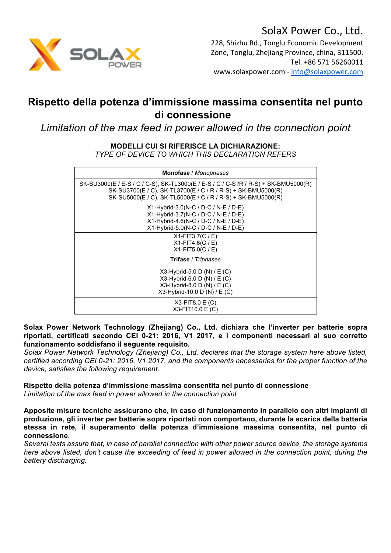

Zone, Tonglu, Zhejiang Province, china, 311500. Tel. +86 571 56260011 www.solaxpower.com - info@solaxpower.com

## **Rispetto della potenza d'immissione massima consentita nel punto di connessione**

*Limitation of the max feed in power allowed in the connection point*

## **MODELLI CUI SI RIFERISCE LA DICHIARAZIONE:**

*TYPE OF DEVICE TO WHICH THIS DECLARATION REFERS*

| Monofase / Monophases                                                                                                                                                                                               |
|---------------------------------------------------------------------------------------------------------------------------------------------------------------------------------------------------------------------|
| SK-SU3000(E / E-S / C / C-S), SK-TL3000(E / E-S / C / C-S /R / R-S) + SK-BMU5000(R)<br>SK-SU3700(E / C), SK-TL3700(E / C / R / R-S) + SK-BMU5000(R)<br>SK-SU5000(E / C), SK-TL5000(E / C / R / R-S) + SK-BMU5000(R) |
| $X1-Hvbrid-3.0(N-C/D-C/N-E/D-E)$<br>X1-Hybrid-3.7(N-C / D-C / N-E / D-E)<br>X1-Hybrid-4.6(N-C / D-C / N-E / D-E)<br>X1-Hybrid-5.0(N-C / D-C / N-E / D-E)                                                            |
| $X1-FIT3.7(C / E)$<br>$X1-FIT4.6(C / E)$<br>$X1-FIT5.0(C / E)$                                                                                                                                                      |
| <b>Trifase</b> / Triphases                                                                                                                                                                                          |
| $X3-Hybrid-5.0 D(N)/E(C)$<br>$X3-Hybrid-6.0 D (N) / E (C)$<br>$X3$ -Hybrid-8.0 D (N) / E (C)<br>$X3-Hvbrid-10.0 D(N) / E(C)$                                                                                        |
| $X3-FIT8.0 E(C)$<br>X3-FIT10.0 E (C)                                                                                                                                                                                |

**Solax Power Network Technology (Zhejiang) Co., Ltd. dichiara che l'inverter per batterie sopra riportati, certificati secondo CEI 0-21: 2016, V1 2017, e i componenti necessari al suo corretto funzionamento soddisfano il seguente requisito.**

*Solax Power Network Technology (Zhejiang) Co., Ltd. declares that the storage system here above listed, certified according CEI 0-21: 2016, V1 2017, and the components necessaries for the proper function of the device, satisfies the following requirement.*

## **Rispetto della potenza d'immissione massima consentita nel punto di connessione** *Limitation of the max feed in power allowed in the connection point*

**Apposite misure tecniche assicurano che, in caso di funzionamento in parallelo con altri impianti di produzione, gli inverter per batterie sopra riportati non comportano, durante la scarica della batteria stessa in rete, il superamento della potenza d'immissione massima consentita, nel punto di connessione***.*

*Several tests assure that, in case of parallel connection with other power source device, the storage systems here above listed, don't cause the exceeding of feed in power allowed in the connection point, during the battery discharging.*